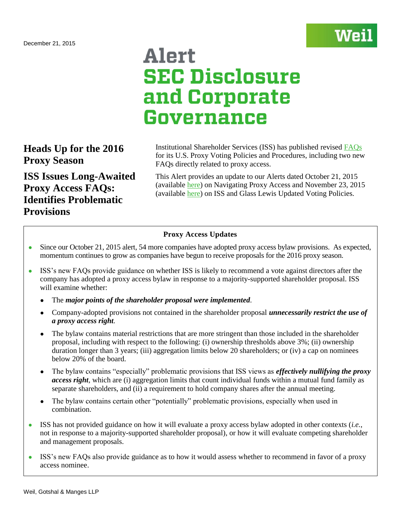

# Alert **SEC Disclosure** and Corporate Governance

## **Heads Up for the 2016 Proxy Season**

**ISS Issues Long-Awaited Proxy Access FAQs: Identifies Problematic Provisions**

Institutional Shareholder Services (ISS) has published revised [FAQs](http://www.issgovernance.com/file/policy/us-policies-and-procedures-faq-dec-2015.pdf) for its U.S. Proxy Voting Policies and Procedures, including two new FAQs directly related to proxy access.

This Alert provides an update to our Alerts dated October 21, 2015 (available [here\)](http://www.weil.com/~/media/files/pdfs/150660_pcag_alert_oct2015_v15_final.pdf) on Navigating Proxy Access and November 23, 2015 (available [here\)](http://www.weil.com/~/media/files/pdfs/revised-pcag-alert--112315.pdf) on ISS and Glass Lewis Updated Voting Policies.

### **Proxy Access Updates**

- Since our October 21, 2015 alert, 54 more companies have adopted proxy access bylaw provisions. As expected, momentum continues to grow as companies have begun to receive proposals for the 2016 proxy season.
- ISS's new FAQs provide guidance on whether ISS is likely to recommend a vote against directors after the company has adopted a proxy access bylaw in response to a majority-supported shareholder proposal. ISS will examine whether:
	- The *major points of the shareholder proposal were implemented.*
	- Company-adopted provisions not contained in the shareholder proposal *unnecessarily restrict the use of a proxy access right.*
	- The bylaw contains material restrictions that are more stringent than those included in the shareholder proposal, including with respect to the following: (i) ownership thresholds above 3%; (ii) ownership duration longer than 3 years; (iii) aggregation limits below 20 shareholders; or (iv) a cap on nominees below 20% of the board.
	- The bylaw contains "especially" problematic provisions that ISS views as *effectively nullifying the proxy access right*, which are (i) aggregation limits that count individual funds within a mutual fund family as separate shareholders, and (ii) a requirement to hold company shares after the annual meeting.
	- The bylaw contains certain other "potentially" problematic provisions, especially when used in combination.
- ISS has not provided guidance on how it will evaluate a proxy access bylaw adopted in other contexts (*i.e.*, not in response to a majority-supported shareholder proposal), or how it will evaluate competing shareholder and management proposals.
- ISS's new FAQs also provide guidance as to how it would assess whether to recommend in favor of a proxy access nominee.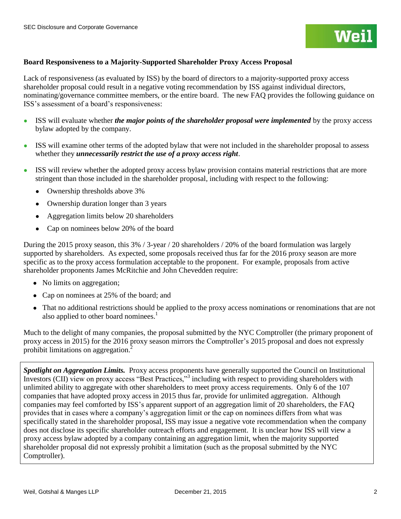#### **Board Responsiveness to a Majority-Supported Shareholder Proxy Access Proposal**

Lack of responsiveness (as evaluated by ISS) by the board of directors to a majority-supported proxy access shareholder proposal could result in a negative voting recommendation by ISS against individual directors, nominating/governance committee members, or the entire board. The new FAQ provides the following guidance on ISS's assessment of a board's responsiveness:

- ISS will evaluate whether *the major points of the shareholder proposal were implemented* by the proxy access bylaw adopted by the company.
- ISS will examine other terms of the adopted bylaw that were not included in the shareholder proposal to assess whether they *unnecessarily restrict the use of a proxy access right*.
- ISS will review whether the adopted proxy access bylaw provision contains material restrictions that are more stringent than those included in the shareholder proposal, including with respect to the following:
	- Ownership thresholds above 3%
	- Ownership duration longer than 3 years
	- Aggregation limits below 20 shareholders
	- Cap on nominees below 20% of the board

During the 2015 proxy season, this 3% / 3-year / 20 shareholders / 20% of the board formulation was largely supported by shareholders. As expected, some proposals received thus far for the 2016 proxy season are more specific as to the proxy access formulation acceptable to the proponent. For example, proposals from active shareholder proponents James McRitchie and John Chevedden require:

- No limits on aggregation;
- Cap on nominees at 25% of the board; and
- That no additional restrictions should be applied to the proxy access nominations or renominations that are not also applied to other board nominees.<sup>1</sup>

Much to the delight of many companies, the proposal submitted by the NYC Comptroller (the primary proponent of proxy access in 2015) for the 2016 proxy season mirrors the Comptroller's 2015 proposal and does not expressly prohibit limitations on aggregation.<sup>2</sup>

*Spotlight on Aggregation Limits.* Proxy access proponents have generally supported the Council on Institutional Investors (CII) view on proxy access "Best Practices,"<sup>3</sup> including with respect to providing shareholders with unlimited ability to aggregate with other shareholders to meet proxy access requirements. Only 6 of the 107 companies that have adopted proxy access in 2015 thus far, provide for unlimited aggregation. Although companies may feel comforted by ISS's apparent support of an aggregation limit of 20 shareholders, the FAQ provides that in cases where a company's aggregation limit or the cap on nominees differs from what was specifically stated in the shareholder proposal, ISS may issue a negative vote recommendation when the company does not disclose its specific shareholder outreach efforts and engagement. It is unclear how ISS will view a proxy access bylaw adopted by a company containing an aggregation limit, when the majority supported shareholder proposal did not expressly prohibit a limitation (such as the proposal submitted by the NYC Comptroller).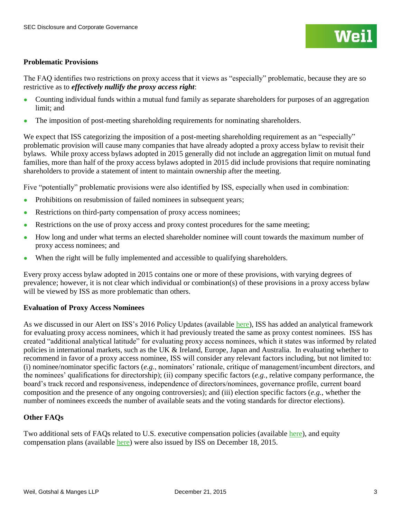#### **Problematic Provisions**

The FAQ identifies two restrictions on proxy access that it views as "especially" problematic, because they are so restrictive as to *effectively nullify the proxy access right*:

- Counting individual funds within a mutual fund family as separate shareholders for purposes of an aggregation limit; and
- The imposition of post-meeting shareholding requirements for nominating shareholders.

We expect that ISS categorizing the imposition of a post-meeting shareholding requirement as an "especially" problematic provision will cause many companies that have already adopted a proxy access bylaw to revisit their bylaws. While proxy access bylaws adopted in 2015 generally did not include an aggregation limit on mutual fund families, more than half of the proxy access bylaws adopted in 2015 did include provisions that require nominating shareholders to provide a statement of intent to maintain ownership after the meeting.

Five "potentially" problematic provisions were also identified by ISS, especially when used in combination:

- Prohibitions on resubmission of failed nominees in subsequent years;
- Restrictions on third-party compensation of proxy access nominees;
- Restrictions on the use of proxy access and proxy contest procedures for the same meeting;
- How long and under what terms an elected shareholder nominee will count towards the maximum number of proxy access nominees; and
- When the right will be fully implemented and accessible to qualifying shareholders.

Every proxy access bylaw adopted in 2015 contains one or more of these provisions, with varying degrees of prevalence; however, it is not clear which individual or combination(s) of these provisions in a proxy access bylaw will be viewed by ISS as more problematic than others.

#### **Evaluation of Proxy Access Nominees**

As we discussed in our Alert on ISS's 2016 Policy Updates (available [here\)](http://www.weil.com/~/media/files/pdfs/revised-pcag-alert--112315.pdf), ISS has added an analytical framework for evaluating proxy access nominees, which it had previously treated the same as proxy contest nominees. ISS has created "additional analytical latitude" for evaluating proxy access nominees, which it states was informed by related policies in international markets, such as the UK & Ireland, Europe, Japan and Australia. In evaluating whether to recommend in favor of a proxy access nominee, ISS will consider any relevant factors including, but not limited to: (i) nominee/nominator specific factors (*e.g.*, nominators' rationale, critique of management/incumbent directors, and the nominees' qualifications for directorship); (ii) company specific factors (*e.g.*, relative company performance, the board's track record and responsiveness, independence of directors/nominees, governance profile, current board composition and the presence of any ongoing controversies); and (iii) election specific factors (*e.g.*, whether the number of nominees exceeds the number of available seats and the voting standards for director elections).

#### **Other FAQs**

Two additional sets of FAOs related to U.S. executive compensation policies (available [here\)](http://www.issgovernance.com/file/policy/us-executive-compensation-policies-faq-dec-2015.pdf), and equity compensation plans (available [here\)](http://www.issgovernance.com/file/policy/1_us-equity-compensation-plans-faq-dec-2015.pdf) were also issued by ISS on December 18, 2015.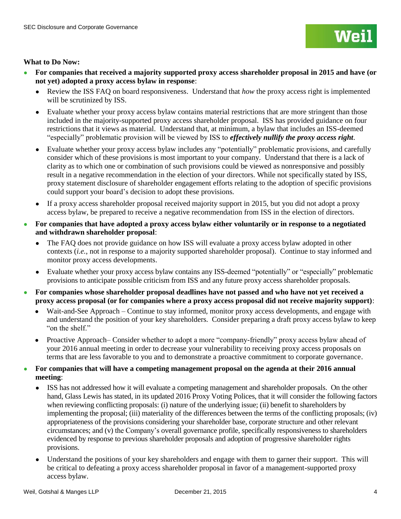

#### **What to Do Now:**

- **For companies that received a majority supported proxy access shareholder proposal in 2015 and have (or not yet) adopted a proxy access bylaw in response**:
	- Review the ISS FAQ on board responsiveness. Understand that *how* the proxy access right is implemented will be scrutinized by ISS.
	- Evaluate whether your proxy access bylaw contains material restrictions that are more stringent than those included in the majority-supported proxy access shareholder proposal. ISS has provided guidance on four restrictions that it views as material. Understand that, at minimum, a bylaw that includes an ISS-deemed "especially" problematic provision will be viewed by ISS to *effectively nullify the proxy access right*.
	- Evaluate whether your proxy access bylaw includes any "potentially" problematic provisions, and carefully consider which of these provisions is most important to your company. Understand that there is a lack of clarity as to which one or combination of such provisions could be viewed as nonresponsive and possibly result in a negative recommendation in the election of your directors. While not specifically stated by ISS, proxy statement disclosure of shareholder engagement efforts relating to the adoption of specific provisions could support your board's decision to adopt these provisions.
	- If a proxy access shareholder proposal received majority support in 2015, but you did not adopt a proxy access bylaw, be prepared to receive a negative recommendation from ISS in the election of directors.
- **For companies that have adopted a proxy access bylaw either voluntarily or in response to a negotiated and withdrawn shareholder proposal**:
	- The FAQ does not provide guidance on how ISS will evaluate a proxy access bylaw adopted in other contexts (*i.e.*, not in response to a majority supported shareholder proposal). Continue to stay informed and monitor proxy access developments.
	- Evaluate whether your proxy access bylaw contains any ISS-deemed "potentially" or "especially" problematic provisions to anticipate possible criticism from ISS and any future proxy access shareholder proposals.
- **For companies whose shareholder proposal deadlines have not passed and who have not yet received a proxy access proposal (or for companies where a proxy access proposal did not receive majority support)**:
	- Wait-and-See Approach Continue to stay informed, monitor proxy access developments, and engage with and understand the position of your key shareholders. Consider preparing a draft proxy access bylaw to keep "on the shelf."
	- Proactive Approach– Consider whether to adopt a more "company-friendly" proxy access bylaw ahead of your 2016 annual meeting in order to decrease your vulnerability to receiving proxy access proposals on terms that are less favorable to you and to demonstrate a proactive commitment to corporate governance.
- **For companies that will have a competing management proposal on the agenda at their 2016 annual meeting**:
	- ISS has not addressed how it will evaluate a competing management and shareholder proposals. On the other hand, Glass Lewis has stated, in its updated 2016 Proxy Voting Polices, that it will consider the following factors when reviewing conflicting proposals: (i) nature of the underlying issue; (ii) benefit to shareholders by implementing the proposal; (iii) materiality of the differences between the terms of the conflicting proposals; (iv) appropriateness of the provisions considering your shareholder base, corporate structure and other relevant circumstances; and (v) the Company's overall governance profile, specifically responsiveness to shareholders evidenced by response to previous shareholder proposals and adoption of progressive shareholder rights provisions.
	- Understand the positions of your key shareholders and engage with them to garner their support. This will be critical to defeating a proxy access shareholder proposal in favor of a management-supported proxy access bylaw.